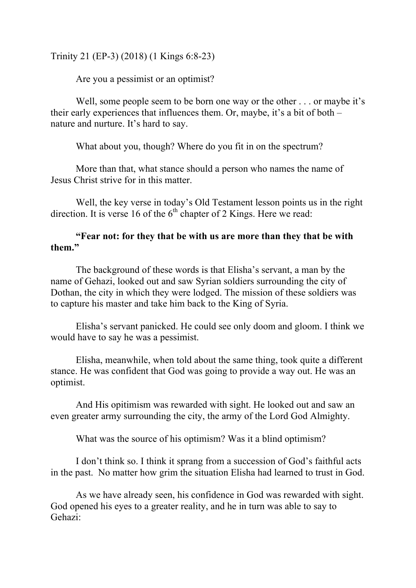Trinity 21 (EP-3) (2018) (1 Kings 6:8-23)

Are you a pessimist or an optimist?

Well, some people seem to be born one way or the other . . . or maybe it's their early experiences that influences them. Or, maybe, it's a bit of both – nature and nurture. It's hard to say.

What about you, though? Where do you fit in on the spectrum?

More than that, what stance should a person who names the name of Jesus Christ strive for in this matter.

Well, the key verse in today's Old Testament lesson points us in the right direction. It is verse 16 of the  $6<sup>th</sup>$  chapter of 2 Kings. Here we read:

## **"Fear not: for they that be with us are more than they that be with them."**

The background of these words is that Elisha's servant, a man by the name of Gehazi, looked out and saw Syrian soldiers surrounding the city of Dothan, the city in which they were lodged. The mission of these soldiers was to capture his master and take him back to the King of Syria.

Elisha's servant panicked. He could see only doom and gloom. I think we would have to say he was a pessimist.

Elisha, meanwhile, when told about the same thing, took quite a different stance. He was confident that God was going to provide a way out. He was an optimist.

And His opitimism was rewarded with sight. He looked out and saw an even greater army surrounding the city, the army of the Lord God Almighty.

What was the source of his optimism? Was it a blind optimism?

I don't think so. I think it sprang from a succession of God's faithful acts in the past. No matter how grim the situation Elisha had learned to trust in God.

As we have already seen, his confidence in God was rewarded with sight. God opened his eyes to a greater reality, and he in turn was able to say to Gehazi: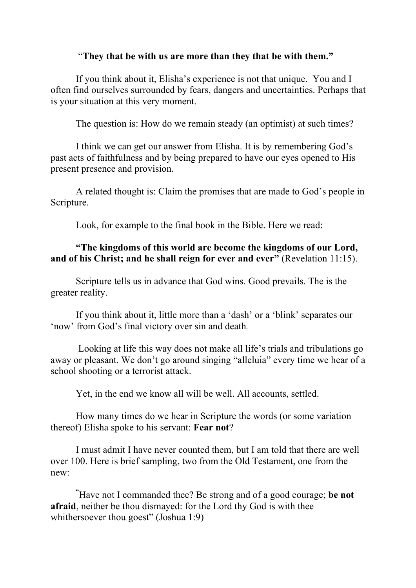## "**They that be with us are more than they that be with them."**

If you think about it, Elisha's experience is not that unique. You and I often find ourselves surrounded by fears, dangers and uncertainties. Perhaps that is your situation at this very moment.

The question is: How do we remain steady (an optimist) at such times?

I think we can get our answer from Elisha. It is by remembering God's past acts of faithfulness and by being prepared to have our eyes opened to His present presence and provision.

A related thought is: Claim the promises that are made to God's people in Scripture.

Look, for example to the final book in the Bible. Here we read:

## **"The kingdoms of this world are become the kingdoms of our Lord, and of his Christ; and he shall reign for ever and ever"** (Revelation 11:15).

Scripture tells us in advance that God wins. Good prevails. The is the greater reality.

If you think about it, little more than a 'dash' or a 'blink' separates our 'now' from God's final victory over sin and death*.*

Looking at life this way does not make all life's trials and tribulations go away or pleasant. We don't go around singing "alleluia" every time we hear of a school shooting or a terrorist attack.

Yet, in the end we know all will be well. All accounts, settled.

How many times do we hear in Scripture the words (or some variation thereof) Elisha spoke to his servant: **Fear not**?

I must admit I have never counted them, but I am told that there are well over 100. Here is brief sampling, two from the Old Testament, one from the new:

**"** Have not I commanded thee? Be strong and of a good courage; **be not afraid**, neither be thou dismayed: for the Lord thy God is with thee whithersoever thou goest" (Joshua 1:9)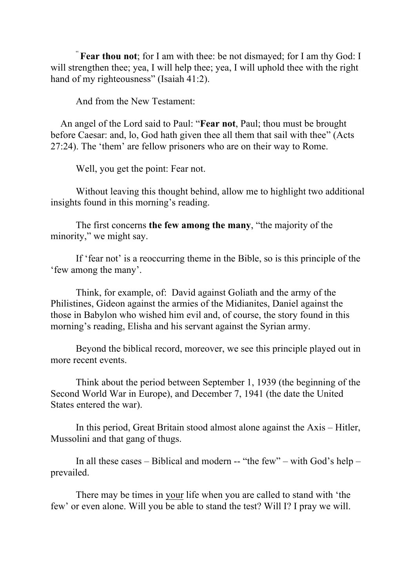" **Fear thou not**; for I am with thee: be not dismayed; for I am thy God: I will strengthen thee; yea, I will help thee; yea, I will uphold thee with the right hand of my righteousness" (Isaiah 41:2).

And from the New Testament:

 An angel of the Lord said to Paul: "**Fear not**, Paul; thou must be brought before Caesar: and, lo, God hath given thee all them that sail with thee" (Acts 27:24). The 'them' are fellow prisoners who are on their way to Rome.

Well, you get the point: Fear not.

Without leaving this thought behind, allow me to highlight two additional insights found in this morning's reading.

The first concerns **the few among the many**, "the majority of the minority," we might say.

If 'fear not' is a reoccurring theme in the Bible, so is this principle of the 'few among the many'.

Think, for example, of: David against Goliath and the army of the Philistines, Gideon against the armies of the Midianites, Daniel against the those in Babylon who wished him evil and, of course, the story found in this morning's reading, Elisha and his servant against the Syrian army.

Beyond the biblical record, moreover, we see this principle played out in more recent events.

Think about the period between September 1, 1939 (the beginning of the Second World War in Europe), and December 7, 1941 (the date the United States entered the war).

In this period, Great Britain stood almost alone against the Axis – Hitler, Mussolini and that gang of thugs.

In all these cases – Biblical and modern -- "the few" – with God's help – prevailed.

There may be times in your life when you are called to stand with 'the few' or even alone. Will you be able to stand the test? Will I? I pray we will.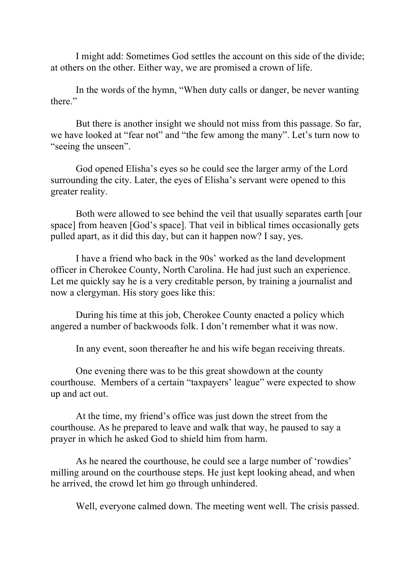I might add: Sometimes God settles the account on this side of the divide; at others on the other. Either way, we are promised a crown of life.

In the words of the hymn, "When duty calls or danger, be never wanting there."

But there is another insight we should not miss from this passage. So far, we have looked at "fear not" and "the few among the many". Let's turn now to "seeing the unseen".

God opened Elisha's eyes so he could see the larger army of the Lord surrounding the city. Later, the eyes of Elisha's servant were opened to this greater reality.

Both were allowed to see behind the veil that usually separates earth [our space] from heaven [God's space]. That veil in biblical times occasionally gets pulled apart, as it did this day, but can it happen now? I say, yes.

I have a friend who back in the 90s' worked as the land development officer in Cherokee County, North Carolina. He had just such an experience. Let me quickly say he is a very creditable person, by training a journalist and now a clergyman. His story goes like this:

During his time at this job, Cherokee County enacted a policy which angered a number of backwoods folk. I don't remember what it was now.

In any event, soon thereafter he and his wife began receiving threats.

One evening there was to be this great showdown at the county courthouse. Members of a certain "taxpayers' league" were expected to show up and act out.

At the time, my friend's office was just down the street from the courthouse. As he prepared to leave and walk that way, he paused to say a prayer in which he asked God to shield him from harm.

As he neared the courthouse, he could see a large number of 'rowdies' milling around on the courthouse steps. He just kept looking ahead, and when he arrived, the crowd let him go through unhindered.

Well, everyone calmed down. The meeting went well. The crisis passed.